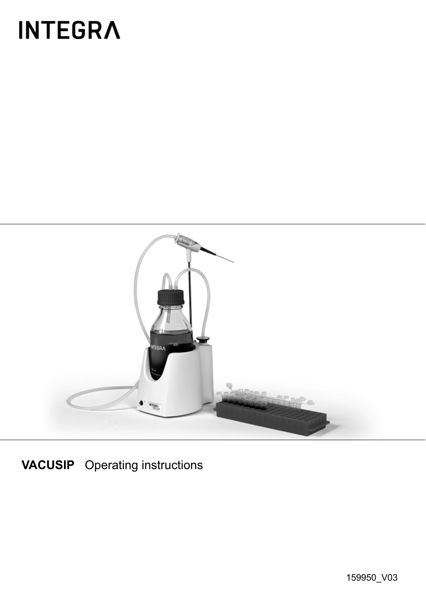# **INTEGRA**



**VACUSIP** Operating instructions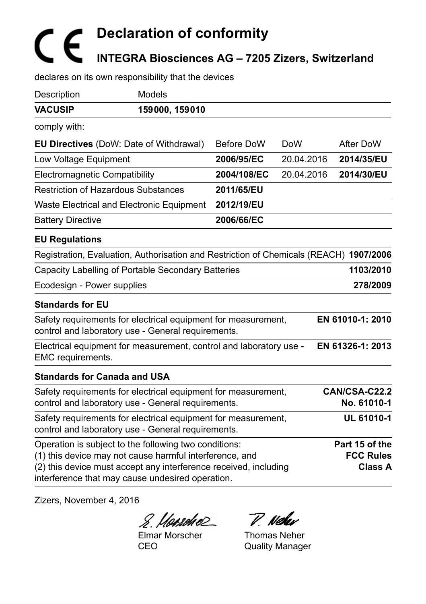# **Declaration of conformity INTEGRA Biosciences AG – 7205 Zizers, Switzerland**

declares on its own responsibility that the devices

| Description                                                                                                                                                                                                                              | <b>Models</b>  |             |            |                                               |
|------------------------------------------------------------------------------------------------------------------------------------------------------------------------------------------------------------------------------------------|----------------|-------------|------------|-----------------------------------------------|
| <b>VACUSIP</b>                                                                                                                                                                                                                           | 159000, 159010 |             |            |                                               |
| comply with:                                                                                                                                                                                                                             |                |             |            |                                               |
| <b>EU Directives</b> (DoW: Date of Withdrawal)                                                                                                                                                                                           |                | Before DoW  | <b>DoW</b> | After DoW                                     |
| Low Voltage Equipment                                                                                                                                                                                                                    |                | 2006/95/EC  | 20.04.2016 | 2014/35/EU                                    |
| Electromagnetic Compatibility                                                                                                                                                                                                            |                | 2004/108/EC | 20.04.2016 | 2014/30/EU                                    |
| <b>Restriction of Hazardous Substances</b>                                                                                                                                                                                               |                | 2011/65/EU  |            |                                               |
| Waste Electrical and Electronic Equipment                                                                                                                                                                                                |                | 2012/19/EU  |            |                                               |
| <b>Battery Directive</b>                                                                                                                                                                                                                 |                | 2006/66/EC  |            |                                               |
| <b>EU Regulations</b>                                                                                                                                                                                                                    |                |             |            |                                               |
| Registration, Evaluation, Authorisation and Restriction of Chemicals (REACH) 1907/2006                                                                                                                                                   |                |             |            |                                               |
| Capacity Labelling of Portable Secondary Batteries                                                                                                                                                                                       |                |             |            | 1103/2010                                     |
| Ecodesign - Power supplies                                                                                                                                                                                                               |                |             |            | 278/2009                                      |
| <b>Standards for EU</b>                                                                                                                                                                                                                  |                |             |            |                                               |
| Safety requirements for electrical equipment for measurement,<br>control and laboratory use - General requirements.                                                                                                                      |                |             |            | EN 61010-1: 2010                              |
| Electrical equipment for measurement, control and laboratory use -<br>EMC requirements.                                                                                                                                                  |                |             |            | EN 61326-1: 2013                              |
| <b>Standards for Canada and USA</b>                                                                                                                                                                                                      |                |             |            |                                               |
| Safety requirements for electrical equipment for measurement,<br>control and laboratory use - General requirements.                                                                                                                      |                |             |            | CAN/CSA-C22.2<br>No. 61010-1                  |
| Safety requirements for electrical equipment for measurement,<br>control and laboratory use - General requirements.                                                                                                                      |                |             |            | UL 61010-1                                    |
| Operation is subject to the following two conditions:<br>(1) this device may not cause harmful interference, and<br>(2) this device must accept any interference received, including<br>interference that may cause undesired operation. |                |             |            | Part 15 of the<br><b>FCC Rules</b><br>Class A |

Zizers, November 4, 2016

8. Hansdie P. Nehr

Elmar Morscher CEO

Thomas Neher Quality Manager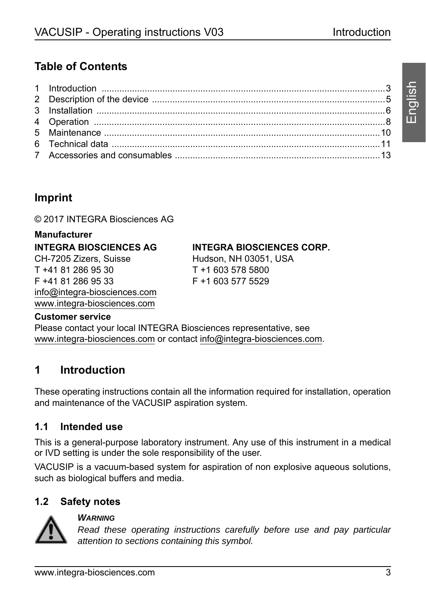# **Table of Contents**

# **Imprint**

© 2017 INTEGRA Biosciences AG

#### **Manufacturer**

**INTEGRA BIOSCIENCES AG**

CH-7205 Zizers, Suisse T +41 81 286 95 30 F +41 81 286 95 33 [info@integra-biosciences.com](mailto: info@integra-biosciences.com) www.integra-biosciences.com

### **INTEGRA BIOSCIENCES CORP.**

Hudson, NH 03051, USA T +1 603 578 5800 F +1 603 577 5529

#### **Customer service**

Please contact your local INTEGRA Biosciences representative, see www.integra-biosciences.com or contact [info@integra-biosciences.com.](mailto: info@integra-biosciences.com)

# <span id="page-2-0"></span>**1 Introduction**

These operating instructions contain all the information required for installation, operation and maintenance of the VACUSIP aspiration system.

## **1.1 Intended use**

This is a general-purpose laboratory instrument. Any use of this instrument in a medical or IVD setting is under the sole responsibility of the user.

VACUSIP is a vacuum-based system for aspiration of non explosive aqueous solutions, such as biological buffers and media.

## **1.2 Safety notes**



#### *WARNING*

*Read these operating instructions carefully before use and pay particular attention to sections containing this symbol.*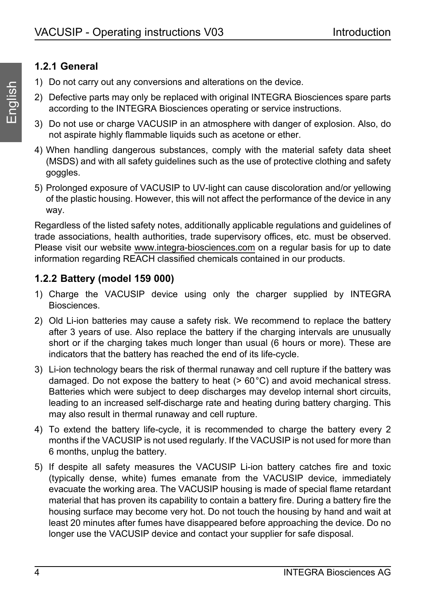## **1.2.1 General**

- 1) Do not carry out any conversions and alterations on the device.
- 2) Defective parts may only be replaced with original INTEGRA Biosciences spare parts according to the INTEGRA Biosciences operating or service instructions.
- 3) Do not use or charge VACUSIP in an atmosphere with danger of explosion. Also, do not aspirate highly flammable liquids such as acetone or ether.
- 4) When handling dangerous substances, comply with the material safety data sheet (MSDS) and with all safety guidelines such as the use of protective clothing and safety goggles.
- 5) Prolonged exposure of VACUSIP to UV-light can cause discoloration and/or yellowing of the plastic housing. However, this will not affect the performance of the device in any way.

Regardless of the listed safety notes, additionally applicable regulations and guidelines of trade associations, health authorities, trade supervisory offices, etc. must be observed. Please visit our website www.integra-biosciences.com on a regular basis for up to date information regarding REACH classified chemicals contained in our products.

## **1.2.2 Battery (model 159 000)**

- 1) Charge the VACUSIP device using only the charger supplied by INTEGRA Biosciences.
- 2) Old Li-ion batteries may cause a safety risk. We recommend to replace the battery after 3 years of use. Also replace the battery if the charging intervals are unusually short or if the charging takes much longer than usual (6 hours or more). These are indicators that the battery has reached the end of its life-cycle.
- 3) Li-ion technology bears the risk of thermal runaway and cell rupture if the battery was damaged. Do not expose the battery to heat  $(> 60^{\circ}C)$  and avoid mechanical stress. Batteries which were subject to deep discharges may develop internal short circuits, leading to an increased self-discharge rate and heating during battery charging. This may also result in thermal runaway and cell rupture.
- 4) To extend the battery life-cycle, it is recommended to charge the battery every 2 months if the VACUSIP is not used regularly. If the VACUSIP is not used for more than 6 months, unplug the battery.
- 5) If despite all safety measures the VACUSIP Li-ion battery catches fire and toxic (typically dense, white) fumes emanate from the VACUSIP device, immediately evacuate the working area. The VACUSIP housing is made of special flame retardant material that has proven its capability to contain a battery fire. During a battery fire the housing surface may become very hot. Do not touch the housing by hand and wait at least 20 minutes after fumes have disappeared before approaching the device. Do no longer use the VACUSIP device and contact your supplier for safe disposal.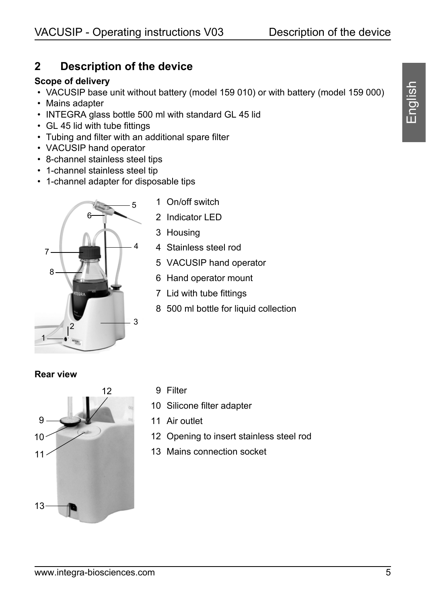# <span id="page-4-0"></span>**2 Description of the device**

#### **Scope of delivery**

- VACUSIP base unit without battery (model 159 010) or with battery (model 159 000)
- Mains adapter
- INTEGRA glass bottle 500 ml with standard GL 45 lid
- GL 45 lid with tube fittings
- Tubing and filter with an additional spare filter
- VACUSIP hand operator
- 8-channel stainless steel tips
- 1-channel stainless steel tip
- 1-channel adapter for disposable tips



- 1 On/off switch
- 2 Indicator LED
- 3 Housing
- 4 Stainless steel rod
- 5 VACUSIP hand operator
- <span id="page-4-1"></span>6 Hand operator mount
- <span id="page-4-2"></span>7 Lid with tube fittings
- 8 500 ml bottle for liquid collection

**Rear view**



- 9 Filter
- 10 Silicone filter adapter
- 11 Air outlet
- 12 Opening to insert stainless steel rod
- 13 Mains connection socket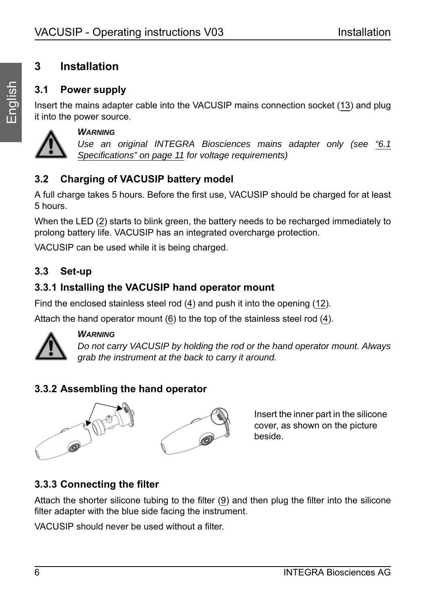# <span id="page-5-0"></span>**3 Installation**

# **3.1 Power supply**

Insert the mains adapter cable into the VACUSIP mains connection socket (13) and plug it into the power source.



#### *WARNING*

*Use an original INTEGRA Biosciences mains adapter only (see ["6.1](#page-10-1) [Specifications" on page 11](#page-10-1) for voltage requirements)*

# **3.2 Charging of VACUSIP battery model**

A full charge takes 5 hours. Before the first use, VACUSIP should be charged for at least 5 hours.

When the LED (2) starts to blink green, the battery needs to be recharged immediately to prolong battery life. VACUSIP has an integrated overcharge protection.

VACUSIP can be used while it is being charged.

# **3.3 Set-up**

# **3.3.1 Installing the VACUSIP hand operator mount**

Find the enclosed stainless steel rod (4) and push it into the opening (12).

Attach the hand operator mount ([6\)](#page-4-1) to the top of the stainless steel rod (4).



#### *WARNING*

*Do not carry VACUSIP by holding the rod or the hand operator mount. Always grab the instrument at the back to carry it around.*

# **3.3.2 Assembling the hand operator**



Insert the inner part in the silicone cover, as shown on the picture beside.

# **3.3.3 Connecting the filter**

Attach the shorter silicone tubing to the filter (9) and then plug the filter into the silicone filter adapter with the blue side facing the instrument.

VACUSIP should never be used without a filter.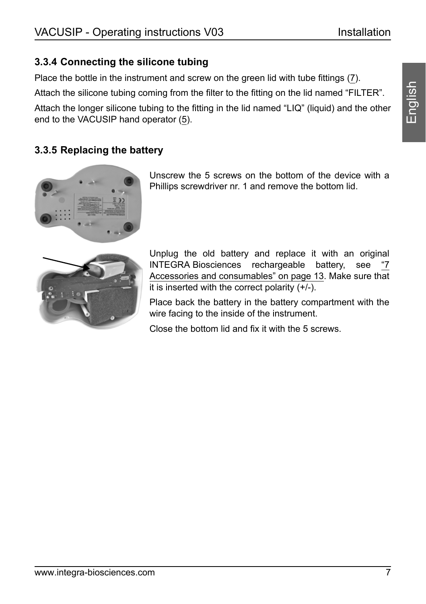## **3.3.4 Connecting the silicone tubing**

Place the bottle in the instrument and screw on the green lid with tube fittings [\(7](#page-4-2)). Attach the silicone tubing coming from the filter to the fitting on the lid named "FILTER". Attach the longer silicone tubing to the fitting in the lid named "LIQ" (liquid) and the other end to the VACUSIP hand operator (5).

## **3.3.5 Replacing the battery**



Unscrew the 5 screws on the bottom of the device with a Phillips screwdriver nr. 1 and remove the bottom lid.



Unplug the old battery and replace it with an original INTEGRA Biosciences rechargeable battery, see [Accessories and consumables" on page 13](#page-12-0). Make sure that it is inserted with the correct polarity  $(+/-)$ .

Place back the battery in the battery compartment with the wire facing to the inside of the instrument.

Close the bottom lid and fix it with the 5 screws.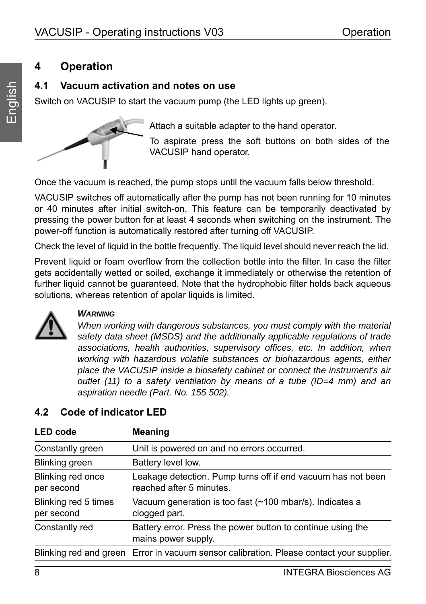# <span id="page-7-0"></span>**4 Operation**

## **4.1 Vacuum activation and notes on use**

Switch on VACUSIP to start the vacuum pump (the LED lights up green).



Attach a suitable adapter to the hand operator.

To aspirate press the soft buttons on both sides of the VACUSIP hand operator.

Once the vacuum is reached, the pump stops until the vacuum falls below threshold.

VACUSIP switches off automatically after the pump has not been running for 10 minutes or 40 minutes after initial switch-on. This feature can be temporarily deactivated by pressing the power button for at least 4 seconds when switching on the instrument. The power-off function is automatically restored after turning off VACUSIP.

Check the level of liquid in the bottle frequently. The liquid level should never reach the lid.

Prevent liquid or foam overflow from the collection bottle into the filter. In case the filter gets accidentally wetted or soiled, exchange it immediately or otherwise the retention of further liquid cannot be guaranteed. Note that the hydrophobic filter holds back aqueous solutions, whereas retention of apolar liquids is limited.



#### *WARNING*

*When working with dangerous substances, you must comply with the material safety data sheet (MSDS) and the additionally applicable regulations of trade associations, health authorities, supervisory offices, etc. In addition, when working with hazardous volatile substances or biohazardous agents, either place the VACUSIP inside a biosafety cabinet or connect the instrument's air outlet (11) to a safety ventilation by means of a tube (ID=4 mm) and an aspiration needle (Part. No. 155 502).* 

| <b>LED</b> code                    | Meaning                                                                                  |  |  |  |  |  |  |
|------------------------------------|------------------------------------------------------------------------------------------|--|--|--|--|--|--|
| Constantly green                   | Unit is powered on and no errors occurred.                                               |  |  |  |  |  |  |
| Blinking green                     | Battery level low.                                                                       |  |  |  |  |  |  |
| Blinking red once<br>per second    | Leakage detection. Pump turns off if end vacuum has not been<br>reached after 5 minutes. |  |  |  |  |  |  |
| Blinking red 5 times<br>per second | Vacuum generation is too fast (~100 mbar/s). Indicates a<br>clogged part.                |  |  |  |  |  |  |
| Constantly red                     | Battery error. Press the power button to continue using the<br>mains power supply.       |  |  |  |  |  |  |
|                                    | Blinking red and green Error in vacuum sensor calibration. Please contact your supplier. |  |  |  |  |  |  |

# **4.2 Code of indicator LED**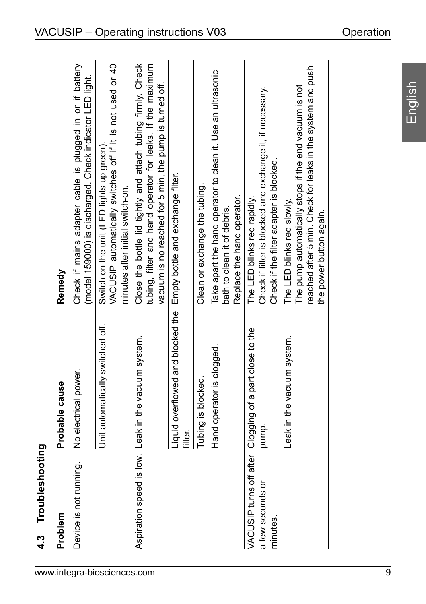| 4.3 Troubleshooting          |                                                                                |                                                                                                                                                                                       |
|------------------------------|--------------------------------------------------------------------------------|---------------------------------------------------------------------------------------------------------------------------------------------------------------------------------------|
| Problem                      | Probable cause                                                                 | Remedy                                                                                                                                                                                |
| Device is not running.       | No electrical power.                                                           | Check if mains adapter cable is plugged in or if battery<br>(model 159000) is discharged. Check indicator LED light.                                                                  |
|                              | Unit automatically switched off.                                               | VACUSIP automatically switches off if it is not used or 40<br>Switch on the unit (LED lights up green).<br>minutes after initial switch-on.                                           |
|                              | Aspiration speed is low. Leak in the vacuum system.                            | Close the bottle lid tightly and attach tubing firmly. Check<br>tubing, filter and hand operator for leaks. If the maximum<br>vacuum is no reached for 5 min, the pump is turned off. |
|                              | Liquid overflowed and blocked the Empty bottle and exchange filter.<br>filter. |                                                                                                                                                                                       |
|                              | Tubing is blocked.                                                             | Clean or exchange the tubing.                                                                                                                                                         |
|                              | Hand operator is clogged                                                       | Take apart the hand operator to clean it. Use an ultrasonic<br>Replace the hand operator.<br>bath to clean it of debris.                                                              |
| a few seconds or<br>minutes. | VACUSIP turns off after Clogging of a part close to the<br>pump.               | Check if filter is blocked and exchange it, if necessary.<br>Check if the filter adapter is blocked.<br>The LED blinks red rapidly.                                                   |
|                              | Leak in the vacuum system.                                                     | reached after 5 min. Check for leaks in the system and push<br>The pump automatically stops if the end vacuum is not<br>The LED blinks red slowly.<br>the power button again.         |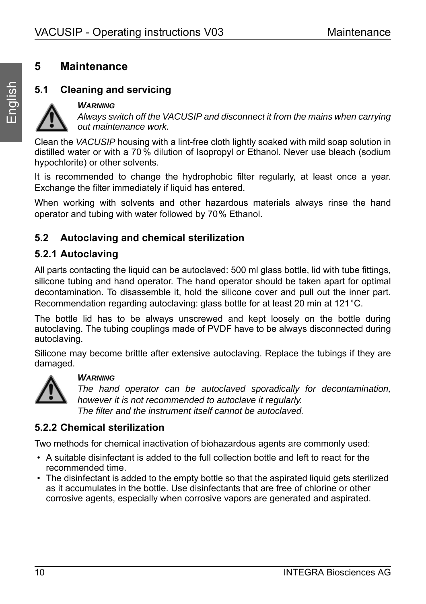# <span id="page-9-0"></span>**5 Maintenance**

## **5.1 Cleaning and servicing**

#### *WARNING*

*Always switch off the VACUSIP and disconnect it from the mains when carrying out maintenance work.*

Clean the *VACUSIP* housing with a lint-free cloth lightly soaked with mild soap solution in distilled water or with a 70 % dilution of Isopropyl or Ethanol. Never use bleach (sodium hypochlorite) or other solvents.

It is recommended to change the hydrophobic filter regularly, at least once a year. Exchange the filter immediately if liquid has entered.

When working with solvents and other hazardous materials always rinse the hand operator and tubing with water followed by 70% Ethanol.

## **5.2 Autoclaving and chemical sterilization**

### **5.2.1 Autoclaving**

All parts contacting the liquid can be autoclaved: 500 ml glass bottle, lid with tube fittings, silicone tubing and hand operator. The hand operator should be taken apart for optimal decontamination. To disassemble it, hold the silicone cover and pull out the inner part. Recommendation regarding autoclaving: glass bottle for at least 20 min at 121°C.

The bottle lid has to be always unscrewed and kept loosely on the bottle during autoclaving. The tubing couplings made of PVDF have to be always disconnected during autoclaving.

Silicone may become brittle after extensive autoclaving. Replace the tubings if they are damaged.



#### *WARNING*

*The hand operator can be autoclaved sporadically for decontamination, however it is not recommended to autoclave it regularly. The filter and the instrument itself cannot be autoclaved.*

#### **5.2.2 Chemical sterilization**

Two methods for chemical inactivation of biohazardous agents are commonly used:

- A suitable disinfectant is added to the full collection bottle and left to react for the recommended time.
- The disinfectant is added to the empty bottle so that the aspirated liquid gets sterilized as it accumulates in the bottle. Use disinfectants that are free of chlorine or other corrosive agents, especially when corrosive vapors are generated and aspirated.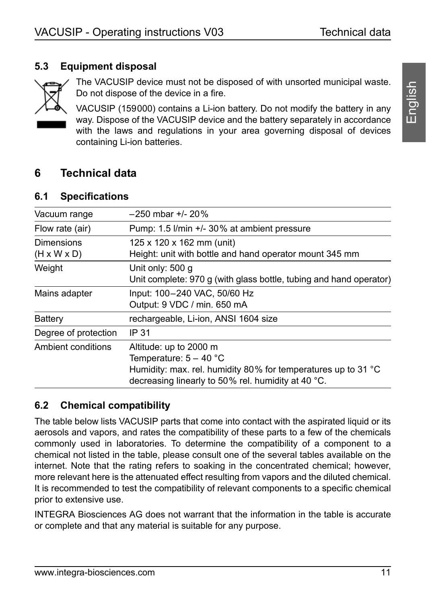## **5.3 Equipment disposal**



The VACUSIP device must not be disposed of with unsorted municipal waste. Do not dispose of the device in a fire.

VACUSIP (159000) contains a Li-ion battery. Do not modify the battery in any way. Dispose of the VACUSIP device and the battery separately in accordance with the laws and regulations in your area governing disposal of devices containing Li-ion batteries.

## <span id="page-10-0"></span>**6 Technical data**

### <span id="page-10-1"></span>**6.1 Specifications**

| Vacuum range                                 | $-250$ mbar $+/- 20\%$                                                                                                                                                                        |
|----------------------------------------------|-----------------------------------------------------------------------------------------------------------------------------------------------------------------------------------------------|
| Flow rate (air)                              | Pump: 1.5 I/min +/- 30% at ambient pressure                                                                                                                                                   |
| <b>Dimensions</b><br>$(H \times W \times D)$ | 125 x 120 x 162 mm (unit)<br>Height: unit with bottle and hand operator mount 345 mm                                                                                                          |
| Weight                                       | Unit only: 500 g<br>Unit complete: 970 g (with glass bottle, tubing and hand operator)                                                                                                        |
| Mains adapter                                | Input: 100-240 VAC, 50/60 Hz<br>Output: 9 VDC / min. 650 mA                                                                                                                                   |
| Battery                                      | rechargeable, Li-ion, ANSI 1604 size                                                                                                                                                          |
| Degree of protection                         | IP 31                                                                                                                                                                                         |
| Ambient conditions                           | Altitude: up to 2000 m<br>Temperature: $5 - 40$ °C<br>Humidity: max. rel. humidity 80% for temperatures up to 31 $^{\circ}$ C<br>decreasing linearly to 50% rel. humidity at 40 $^{\circ}$ C. |

## **6.2 Chemical compatibility**

The table below lists VACUSIP parts that come into contact with the aspirated liquid or its aerosols and vapors, and rates the compatibility of these parts to a few of the chemicals commonly used in laboratories. To determine the compatibility of a component to a chemical not listed in the table, please consult one of the several tables available on the internet. Note that the rating refers to soaking in the concentrated chemical; however, more relevant here is the attenuated effect resulting from vapors and the diluted chemical. It is recommended to test the compatibility of relevant components to a specific chemical prior to extensive use.

INTEGRA Biosciences AG does not warrant that the information in the table is accurate or complete and that any material is suitable for any purpose.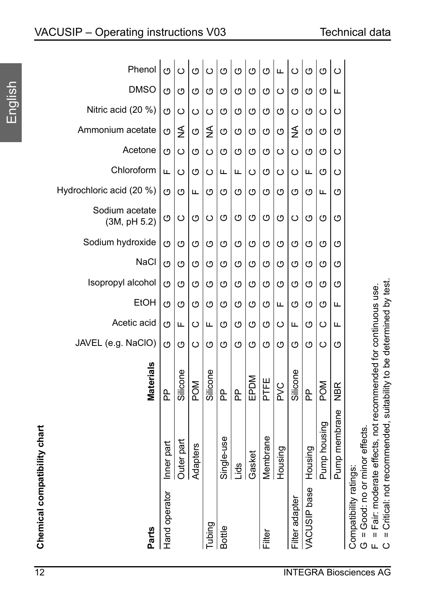| VACUSIP - Operating instructions V03 |  |
|--------------------------------------|--|
|                                      |  |

Phenol

 $\circ$  $\circ$ 

 $\circ$ 

 $\circ$  $\circ$  $\circ$  $\circ$ 

 $\circ$ 

| $\overline{12}$              |                                |               |            |              |               |               |             |         |          |                 |                |              |              |               | <b>INTEGRA Biosciences AG</b>                                                                   |
|------------------------------|--------------------------------|---------------|------------|--------------|---------------|---------------|-------------|---------|----------|-----------------|----------------|--------------|--------------|---------------|-------------------------------------------------------------------------------------------------|
|                              | <b>Parts</b>                   | Hand operator |            |              | Tubing        | <b>Bottle</b> |             |         | Filter   |                 | Filter adapter | VACUSIP base |              |               | Compatibility ratings:<br>Щ                                                                     |
| Chemical compatibility chart |                                | Inner part    | Outer part | Adapters     |               | Single-use    | <u>Spil</u> | Gasket  | Membrane | Housing         |                | Housing      | Pump housing | Pump membrane | = Fair: moderate effects, not recommended for continuous use.<br>G = Good: no or minor effects. |
|                              | Materials                      | 운             | Silicone   | <b>POM</b>   | Silicone      | 윤             | 운           | EPDM    | PTFE     | P <sub>VC</sub> | Silicone       | <u>Գ</u>     | POM          | NBR           |                                                                                                 |
|                              | JAVEL (e.g. NaCIO)             | O             | O          | ပ            | O             | O             | O           | O       | O        | O               | O              | O            | $\circ$      | O             |                                                                                                 |
|                              | Acetic acid                    | O             | Щ          | ပ            | щ             | O             | O           | O       | O        | $\circ$         | Щ              | O            | ပ            | Щ             |                                                                                                 |
|                              | EtOH                           | ග             | O          | O            | O             | O             | O           | O       | O        | Щ               | O              | O            | ග            | Щ             |                                                                                                 |
|                              | Isopropyl alcohol              | O             | O          | O            | O             | O             | O           | O       | O        | O               | O              | O            | O            | O             |                                                                                                 |
|                              | Sodium hydroxide<br>NaCl       | O<br>O        | O<br>O     | $\circ$<br>O | O<br>O        | O<br>O        | O<br>O      | O<br>O  | O<br>O   | O<br>O          | O<br>O         | O<br>O       | O<br>O       | O<br>O        |                                                                                                 |
|                              | Sodium acetate<br>(3M, pH 5.2) | O             | $\circ$    | O            | $\circ$       | O             | O           | O       | $\circ$  | O               | $\circ$        | O            | O            | O             |                                                                                                 |
|                              | Hydrochloric acid (20 %)       | O             | O          | щ            | O             | O             | O           | O       | O        | O               | O              | O            | Щ            | ৩             |                                                                                                 |
|                              | Chloroform                     | Щ             | $\circ$    | O            | $\circ$       | щ             | щ           | $\circ$ | O        | $\circ$         | ပ              | щ            | O            | ပ             |                                                                                                 |
|                              | Acetone                        | O             | ပ          | O            | ပ             | O             | O           | O       | O        | $\circ$         | $\circ$        | O            | ග            | ပ             |                                                                                                 |
|                              | Ammonium acetate               | O             | ≸          | O            | $\frac{1}{2}$ | O             | O           | O       | O        | O               | $\frac{1}{2}$  | O            | ග            | ৩             |                                                                                                 |
|                              | Nitric acid (20 %)             | O             | ပ          | $\circ$      | ပ             | O             | O           | O       | O        | O               | $\circ$        | O            | ပ            | ပ             |                                                                                                 |
|                              | <b>DMSO</b>                    | O             | O          | O            | O             | O             | O           | O       | O        | $\circ$         | O              | O            | O            | Щ             |                                                                                                 |
|                              | Prietiol                       | ↺             | ပ          | ပ            | ပ             | ပ             | ပ           | ↺       | ပ        | щ               | ပ              | ပ            | ပ            | ပ             |                                                                                                 |

Щ  $\circ$ O O  $\circ$ 

= Critical: not recommended, suitability to be determined by test. C = Critical: not recommended, suitability to be determined by test.  $\circ$